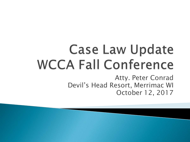# **Case Law Update WCCA Fall Conference**

Atty. Peter Conrad Devil's Head Resort, Merrimac WI October 12, 2017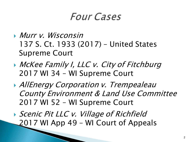### *Four Cases*

- Murr v. Wisconsin 137 S. Ct. 1933 (2017) – United States Supreme Court
- **McKee Family I, LLC v. City of Fitchburg** 2017 WI 34 – WI Supreme Court
- **AllEnergy Corporation v. Trempealeau** County Environment & Land Use Committee 2017 WI 52 – WI Supreme Court
- ▶ Scenic Pit LLC v. Village of Richfield 2017 WI App 49 – WI Court of Appeals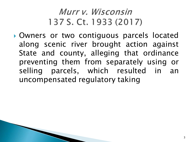### Murr v. Wisconsin 137 S. Ct. 1933 (2017)

 Owners or two contiguous parcels located along scenic river brought action against State and county, alleging that ordinance preventing them from separately using or selling parcels, which resulted in an uncompensated regulatory taking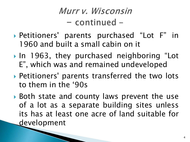- Petitioners' parents purchased "Lot F" in 1960 and built a small cabin on it
- In 1963, they purchased neighboring "Lot E", which was and remained undeveloped
- Petitioners' parents transferred the two lots to them in the '90s
- Both state and county laws prevent the use of a lot as a separate building sites unless its has at least one acre of land suitable for development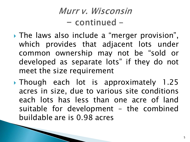- The laws also include a "merger provision", which provides that adjacent lots under common ownership may not be "sold or developed as separate lots" if they do not meet the size requirement
- Though each lot is approximately 1.25 acres in size, due to various site conditions each lots has less than one acre of land suitable for development – the combined buildable are is 0.98 acres

**CONTRACTOR**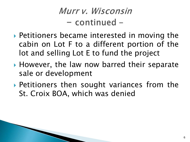- ▶ Petitioners became interested in moving the cabin on Lot F to a different portion of the lot and selling Lot E to fund the project
- ▶ However, the law now barred their separate sale or development
- ▶ Petitioners then sought variances from the St. Croix BOA, which was denied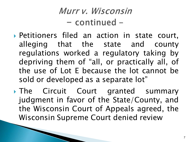- Petitioners filed an action in state court, alleging that the state and county regulations worked a regulatory taking by depriving them of "all, or practically all, of the use of Lot E because the lot cannot be sold or developed as a separate lot"
- The Circuit Court granted summary judgment in favor of the State/County, and the Wisconsin Court of Appeals agreed, the Wisconsin Supreme Court denied review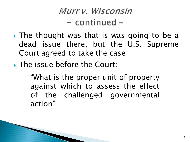- The thought was that is was going to be a dead issue there, but the U.S. Supreme Court agreed to take the case
- **The issue before the Court:**

"What is the proper unit of property against which to assess the effect of the challenged governmental action"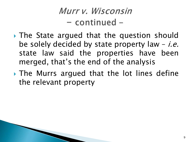- The State argued that the question should be solely decided by state property law  $-i.e.$ state law said the properties have been merged, that's the end of the analysis
- The Murrs argued that the lot lines define the relevant property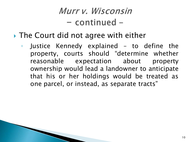- ▶ The Court did not agree with either
	- Justice Kennedy explained to define the property, courts should "determine whether reasonable expectation about property ownership would lead a landowner to anticipate that his or her holdings would be treated as one parcel, or instead, as separate tracts"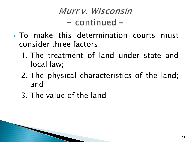- $\triangleright$  To make this determination courts must consider three factors:
	- 1. The treatment of land under state and local law;
	- 2. The physical characteristics of the land; and
	- 3. The value of the land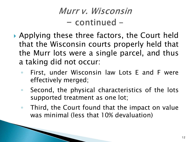- ▶ Applying these three factors, the Court held that the Wisconsin courts properly held that the Murr lots were a single parcel, and thus a taking did not occur:
	- First, under Wisconsin law Lots E and F were effectively merged;
	- Second, the physical characteristics of the lots supported treatment as one lot;
	- Third, the Court found that the impact on value was minimal (less that 10% devaluation)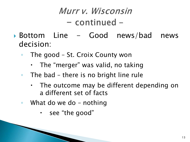- Bottom Line Good news/bad news decision:
	- The good St. Croix County won
		- The "merger" was valid, no taking
	- The bad there is no bright line rule
		- The outcome may be different depending on a different set of facts
	- What do we do nothing
		- $\cdot$  see "the good"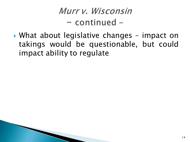What about legislative changes – impact on takings would be questionable, but could impact ability to regulate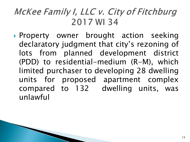### McKee Family I, LLC v. City of Fitchburg 2017 WI 34

Property owner brought action seeking declaratory judgment that city's rezoning of lots from planned development district (PDD) to residential-medium (R-M), which limited purchaser to developing 28 dwelling units for proposed apartment complex compared to 132 dwelling units, was unlawful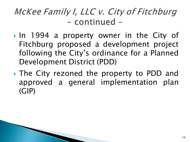- In 1994 a property owner in the City of Fitchburg proposed a development project following the City's ordinance for a Planned Development District (PDD)
- The City rezoned the property to PDD and approved a general implementation plan (GIP)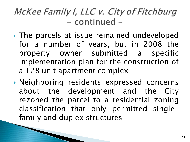- The parcels at issue remained undeveloped for a number of years, but in 2008 the property owner submitted a specific implementation plan for the construction of a 128 unit apartment complex
- Neighboring residents expressed concerns about the development and the City rezoned the parcel to a residential zoning classification that only permitted singlefamily and duplex structures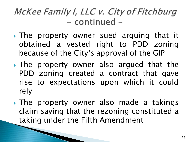- The property owner sued arguing that it obtained a vested right to PDD zoning because of the City's approval of the GIP
- The property owner also argued that the PDD zoning created a contract that gave rise to expectations upon which it could rely
- The property owner also made a takings claim saying that the rezoning constituted a taking under the Fifth Amendment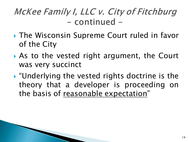- **The Wisconsin Supreme Court ruled in favor** of the City
- As to the vested right argument, the Court was very succinct
- "Underlying the vested rights doctrine is the theory that a developer is proceeding on the basis of reasonable expectation"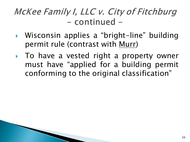- Wisconsin applies a "bright-line" building permit rule (contrast with Murr)
- To have a vested right a property owner must have "applied for a building permit conforming to the original classification"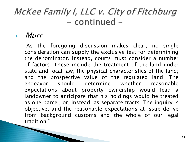#### **Murr**

**The Common Street, Inc.** 

"As the foregoing discussion makes clear, no single consideration can supply the exclusive test for determining the denominator. Instead, courts must consider a number of factors. These include the treatment of the land under state and local law; the physical characteristics of the land; and the prospective value of the regulated land. The endeavor should determine whether reasonable expectations about property ownership would lead a landowner to anticipate that his holdings would be treated as one parcel, or, instead, as separate tracts. The inquiry is objective, and the reasonable expectations at issue derive from background customs and the whole of our legal tradition."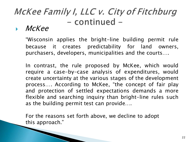#### McKee

"Wisconsin applies the bright-line building permit rule because it creates predictability for land owners, purchasers, developers, municipalities and the courts….

In contrast, the rule proposed by McKee, which would require a case-by-case analysis of expenditures, would create uncertainty at the various stages of the development process…. According to McKee, "the concept of fair play and protection of settled expectations demands a more flexible and searching inquiry than bright-line rules such as the building permit test can provide….

For the reasons set forth above, we decline to adopt this approach."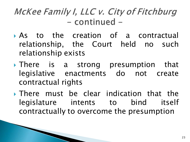- As to the creation of a contractual relationship, the Court held no such relationship exists
- There is a strong presumption that legislative enactments do not create contractual rights
- There must be clear indication that the legislature intents to bind itself contractually to overcome the presumption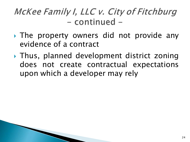- If The property owners did not provide any evidence of a contract
- Thus, planned development district zoning does not create contractual expectations upon which a developer may rely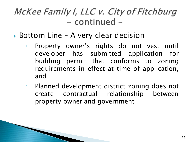- ▶ Bottom Line A very clear decision
	- Property owner's rights do not vest until developer has submitted application for building permit that conforms to zoning requirements in effect at time of application, and
	- Planned development district zoning does not create contractual relationship between property owner and government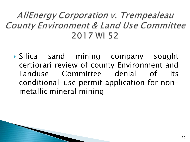### AllEnergy Corporation v. Trempealeau County Environment & Land Use Committee 2017 WI 52

 Silica sand mining company sought certiorari review of county Environment and Landuse Committee denial of its conditional-use permit application for nonmetallic mineral mining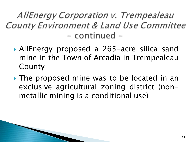- AllEnergy proposed a 265-acre silica sand mine in the Town of Arcadia in Trempealeau County
- ▸ The proposed mine was to be located in an exclusive agricultural zoning district (nonmetallic mining is a conditional use)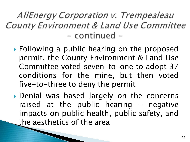- ▶ Following a public hearing on the proposed permit, the County Environment & Land Use Committee voted seven-to-one to adopt 37 conditions for the mine, but then voted five-to-three to deny the permit
- Denial was based largely on the concerns raised at the public hearing  $-$  negative impacts on public health, public safety, and the aesthetics of the area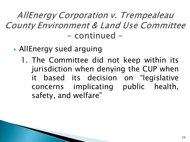- AllEnergy sued arguing
	- 1. The Committee did not keep within its jurisdiction when denying the CUP when it based its decision on "legislative concerns implicating public health, safety, and welfare"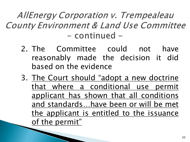- 2. The Committee could not have reasonably made the decision it did based on the evidence
- 3. The Court should "adopt a new doctrine" that where a conditional use permit applicant has shown that all conditions and standards…have been or will be met the applicant is entitled to the issuance of the permit"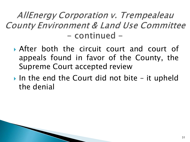- After both the circuit court and court of appeals found in favor of the County, the Supreme Court accepted review
- In the end the Court did not bite it upheld the denial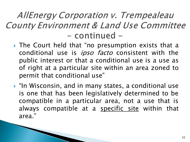- ▶ The Court held that "no presumption exists that a conditional use is *ipso facto* consistent with the public interest or that a conditional use is a use as of right at a particular site within an area zoned to permit that conditional use"
- ▶ "In Wisconsin, and in many states, a conditional use is one that has been legislatively determined to be compatible in a particular area, not a use that is always compatible at a specific site within that area."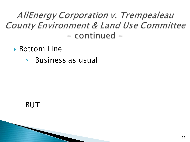- ▶ Bottom Line
	- Business as usual

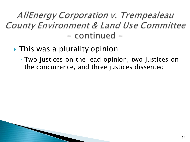- ▶ This was a plurality opinion
	- Two justices on the lead opinion, two justices on the concurrence, and three justices dissented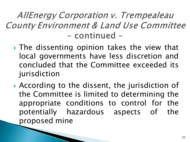- **► The dissenting opinion takes the view that** local governments have less discretion and concluded that the Committee exceeded its jurisdiction
- According to the dissent, the jurisdiction of the Committee is limited to determining the appropriate conditions to control for the potentially hazardous aspects of the proposed mine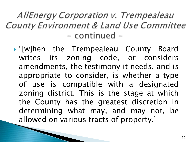"[w]hen the Trempealeau County Board writes its zoning code, or considers amendments, the testimony it needs, and is appropriate to consider, is whether a type of use is compatible with a designated zoning district. This is the stage at which the County has the greatest discretion in determining what may, and may not, be allowed on various tracts of property."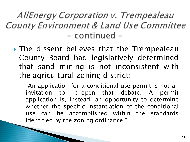▶ The dissent believes that the Trempealeau County Board had legislatively determined that sand mining is not inconsistent with the agricultural zoning district:

"An application for a conditional use permit is not an invitation to re-open that debate. A permit application is, instead, an opportunity to determine whether the specific instantiation of the conditional use can be accomplished within the standards identified by the zoning ordinance."

**CONTRACTOR**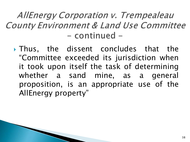Thus, the dissent concludes that the "Committee exceeded its jurisdiction when it took upon itself the task of determining whether a sand mine, as a general proposition, is an appropriate use of the AllEnergy property"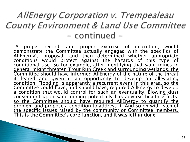"A proper record, and proper exercise of discretion, would demonstrate the Committee actually engaged with the specifics of AllEnergy's proposal, and then determined whether appropriate conditions would protect against the hazards of this type of conditional use. So for example, after identifying that sand mines in general might threaten Trout Run Creek and surrounding wetlands, the Committee should have informed AllEnergy of the nature of the threat<br>it feared and given it an opportunity to develop an alleviating <u>it feared and given it an opportunity to develop an alleviating</u><br>condition. Flooding is apparently a recurrent event in this area, so the Committee could have, and should have, required AllEnergy to develop a condition that would control for such an eventuality. Blowing dust consequent upon sand mining potentially has adverse health effects, so the Committee should have required AllEnergy to quantify the problem and propose a condition to address it. And so on with each of <u>the specific issues raised by the community or Committee members.</u><br><mark>This is the Committee's core function, and it was left undone</mark>."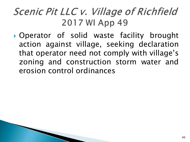### *Scenic Pit LLC v. Village of Richfield* 2017 WI App 49

 Operator of solid waste facility brought action against village, seeking declaration that operator need not comply with village's zoning and construction storm water and erosion control ordinances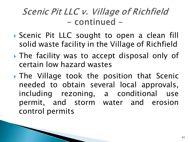- Scenic Pit LLC sought to open a clean fill solid waste facility in the Village of Richfield
- The facility was to accept disposal only of certain low hazard wastes
- The Village took the position that Scenic needed to obtain several local approvals, including rezoning, a conditional use permit, and storm water and erosion control permits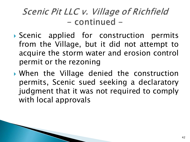- Scenic applied for construction permits from the Village, but it did not attempt to acquire the storm water and erosion control permit or the rezoning
- When the Village denied the construction permits, Scenic sued seeking a declaratory judgment that it was not required to comply with local approvals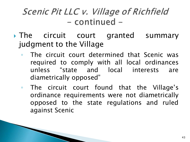- If The circuit court granted summary judgment to the Village
	- The circuit court determined that Scenic was required to comply with all local ordinances unless "state and local interests are diametrically opposed"
	- The circuit court found that the Village's ordinance requirements were not diametrically opposed to the state regulations and ruled against Scenic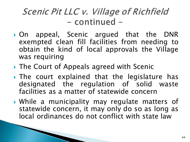- On appeal, Scenic argued that the DNR exempted clean fill facilities from needing to obtain the kind of local approvals the Village was requiring
- ▶ The Court of Appeals agreed with Scenic
- The court explained that the legislature has designated the regulation of solid waste facilities as a matter of statewide concern
- While a municipality may regulate matters of statewide concern, it may only do so as long as local ordinances do not conflict with state law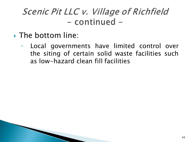- **The bottom line:** 
	- Local governments have limited control over the siting of certain solid waste facilities such as low-hazard clean fill facilities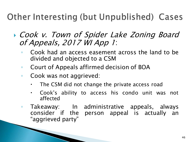Other Interesting (but Unpublished) Cases

- Cook v. Town of Spider Lake Zoning Board of Appeals, 2017 WI App <sup>1</sup>:
	- Cook had an access easement across the land to be divided and objected to a CSM
	- Court of Appeals affirmed decision of BOA
	- Cook was not aggrieved:
		- The CSM did not change the private access road
		- Cook's ability to access his condo unit was not affected
	- Takeaway: In administrative appeals, always consider if the person appeal is actually an "aggrieved party"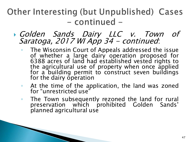- Golden Sands Dairy LLC v. Town of Saratoga, 2017 WI App 34 - continued:
	- The Wisconsin Court of Appeals addressed the issue of whether a large dairy operation proposed for 6388 acres of land had established vested rights to the agricultural use of property when once applied for <sup>a</sup> building permit to construct seven buildings for the dairy operation
	- At the time of the application, the land was zoned for "unrestricted use"
	- The Town subsequently rezoned the land for rural preservation which prohibited Golden Sands' planned agricultural use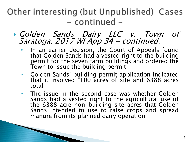- Golden Sands Dairy LLC v. Town of Saratoga, 2017 WI App 34 - continued:
	- In an earlier decision, the Court of Appeals found that Golden Sands had a vested right to the building permit for the seven farm buildings and ordered the Town to issue the building permit
	- Golden Sands' building permit application indicated that it involved "100 acres of site and 6388 acres total"
	- The issue in the second case was whether Golden Sands had a vested right to the agricultural use of the 6388 acre non-building site acres that Golden Sands intended to use to raise crops and spread manure from its planned dairy operation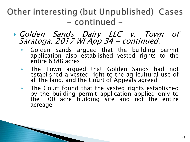- Golden Sands Dairy LLC v. Town of Saratoga, 2017 WI App 34 - continued:
	- Golden Sands argued that the building permit application also established vested rights to the entire 6388 acres
	- The Town argued that Golden Sands had not established a vested right to the agricultural use of all the land, and the Court of Appeals agreed
	- The Court found that the vested rights established by the building permit application applied only to the 100 acre building site and not the entire acreage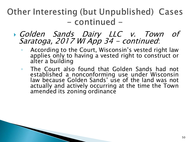- Golden Sands Dairy LLC v. Town of Saratoga, 2017 WI App 34 - continued:
	- According to the Court, Wisconsin's vested right law applies only to having a vested right to construct or alter a building
	- The Court also found that Golden Sands had not established a nonconforming use under Wisconsin law because Golden Sands' use of the land was not actually and actively occurring at the time the Town amended its zoning ordinance